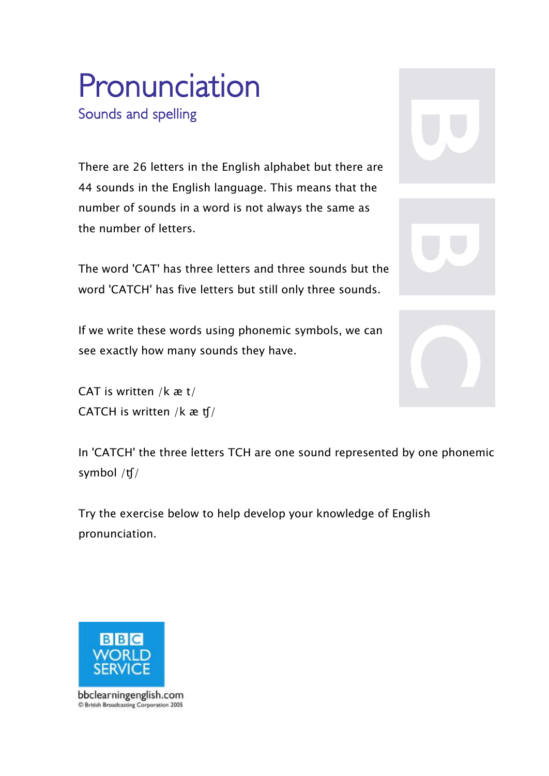# **Pronunciation Sounds and spelling**

There are 26 letters in the English alphabet but there are 44 sounds in the English language. This means that the number of sounds in a word is not always the same as the number of letters.

The word 'CAT' has three letters and three sounds but the word 'CATCH' has five letters but still only three sounds.

If we write these words using phonemic symbols, we can see exactly how many sounds they have.

CAT is written /k æ t/ CATCH is written /k æ ʧ/



In 'CATCH' the three letters TCH are one sound represented by one phonemic symbol /ʧ/

Try the exercise below to help develop your knowledge of English pronunciation.



bbclearningenglish.com C British Broadcasting Corporation 2005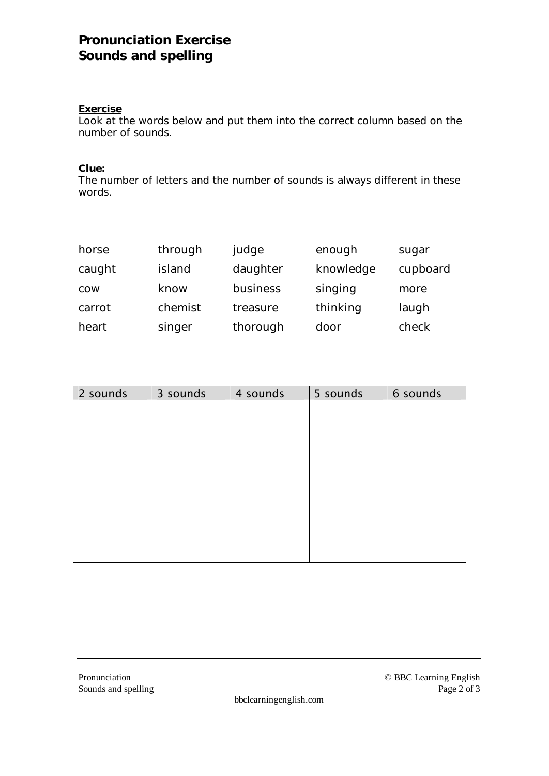## **Pronunciation Exercise Sounds and spelling**

#### **Exercise**

Look at the words below and put them into the correct column based on the number of sounds.

**Clue:**

The number of letters and the number of sounds is always different in these words.

| horse      | through | judge    | enough    | sugar    |
|------------|---------|----------|-----------|----------|
| caught     | island  | daughter | knowledge | cupboard |
| <b>COW</b> | know    | business | singing   | more     |
| carrot     | chemist | treasure | thinking  | laugh    |
| heart      | singer  | thorough | door      | check    |

| 2 sounds | 3 sounds | 4 sounds | 5 sounds | 6 sounds |
|----------|----------|----------|----------|----------|
|          |          |          |          |          |
|          |          |          |          |          |
|          |          |          |          |          |
|          |          |          |          |          |
|          |          |          |          |          |
|          |          |          |          |          |
|          |          |          |          |          |
|          |          |          |          |          |
|          |          |          |          |          |
|          |          |          |          |          |

bbclearningenglish.com